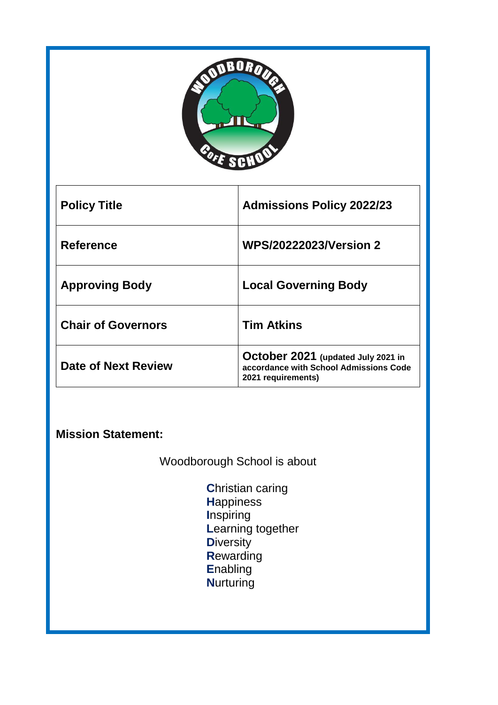

| <b>Policy Title</b>       | <b>Admissions Policy 2022/23</b>                                                                   |
|---------------------------|----------------------------------------------------------------------------------------------------|
| <b>Reference</b>          | <b>WPS/20222023/Version 2</b>                                                                      |
| <b>Approving Body</b>     | <b>Local Governing Body</b>                                                                        |
| <b>Chair of Governors</b> | <b>Tim Atkins</b>                                                                                  |
| Date of Next Review       | October 2021 (updated July 2021 in<br>accordance with School Admissions Code<br>2021 requirements) |

**Mission Statement:** 

Woodborough School is about

**C**hristian caring **H**appiness **I**nspiring **L**earning together **D**iversity **R**ewarding **E**nabling **N**urturing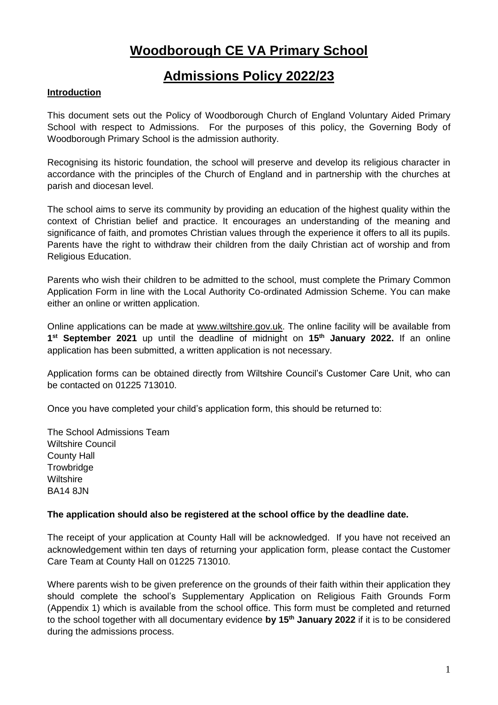# **Woodborough CE VA Primary School**

# **Admissions Policy 2022/23**

# **Introduction**

This document sets out the Policy of Woodborough Church of England Voluntary Aided Primary School with respect to Admissions. For the purposes of this policy, the Governing Body of Woodborough Primary School is the admission authority.

Recognising its historic foundation, the school will preserve and develop its religious character in accordance with the principles of the Church of England and in partnership with the churches at parish and diocesan level.

The school aims to serve its community by providing an education of the highest quality within the context of Christian belief and practice. It encourages an understanding of the meaning and significance of faith, and promotes Christian values through the experience it offers to all its pupils. Parents have the right to withdraw their children from the daily Christian act of worship and from Religious Education.

Parents who wish their children to be admitted to the school, must complete the Primary Common Application Form in line with the Local Authority Co-ordinated Admission Scheme. You can make either an online or written application.

Online applications can be made at [www.wiltshire.gov.uk.](http://www.wiltshire.gov.uk/) The online facility will be available from **1 st September 2021** up until the deadline of midnight on **15 th January 2022.** If an online application has been submitted, a written application is not necessary.

Application forms can be obtained directly from Wiltshire Council's Customer Care Unit, who can be contacted on 01225 713010.

Once you have completed your child's application form, this should be returned to:

The School Admissions Team Wiltshire Council County Hall **Trowbridge Wiltshire** BA14 8JN

## **The application should also be registered at the school office by the deadline date.**

The receipt of your application at County Hall will be acknowledged. If you have not received an acknowledgement within ten days of returning your application form, please contact the Customer Care Team at County Hall on 01225 713010.

Where parents wish to be given preference on the grounds of their faith within their application they should complete the school's Supplementary Application on Religious Faith Grounds Form (Appendix 1) which is available from the school office. This form must be completed and returned to the school together with all documentary evidence **by 15th January 2022** if it is to be considered during the admissions process.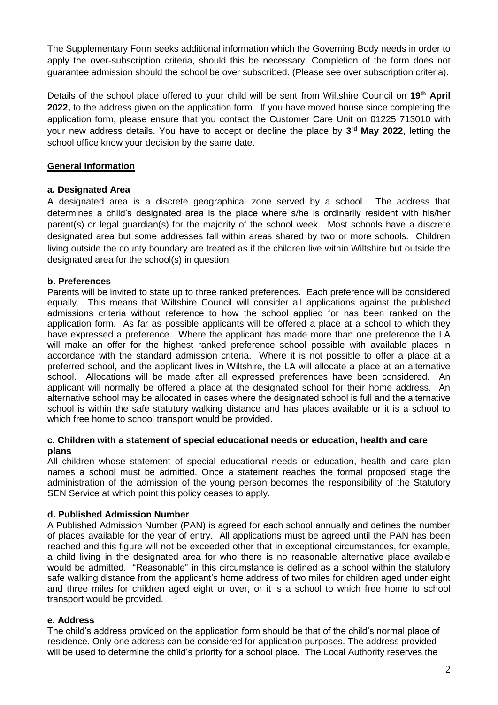The Supplementary Form seeks additional information which the Governing Body needs in order to apply the over-subscription criteria, should this be necessary. Completion of the form does not guarantee admission should the school be over subscribed. (Please see over subscription criteria).

Details of the school place offered to your child will be sent from Wiltshire Council on 19<sup>th</sup> April **2022,** to the address given on the application form. If you have moved house since completing the application form, please ensure that you contact the Customer Care Unit on 01225 713010 with your new address details. You have to accept or decline the place by **3 rd May 2022**, letting the school office know your decision by the same date.

## **General Information**

### **a. Designated Area**

A designated area is a discrete geographical zone served by a school. The address that determines a child's designated area is the place where s/he is ordinarily resident with his/her parent(s) or legal guardian(s) for the majority of the school week. Most schools have a discrete designated area but some addresses fall within areas shared by two or more schools. Children living outside the county boundary are treated as if the children live within Wiltshire but outside the designated area for the school(s) in question.

## **b. Preferences**

Parents will be invited to state up to three ranked preferences. Each preference will be considered equally. This means that Wiltshire Council will consider all applications against the published admissions criteria without reference to how the school applied for has been ranked on the application form. As far as possible applicants will be offered a place at a school to which they have expressed a preference. Where the applicant has made more than one preference the LA will make an offer for the highest ranked preference school possible with available places in accordance with the standard admission criteria. Where it is not possible to offer a place at a preferred school, and the applicant lives in Wiltshire, the LA will allocate a place at an alternative school. Allocations will be made after all expressed preferences have been considered. An applicant will normally be offered a place at the designated school for their home address. An alternative school may be allocated in cases where the designated school is full and the alternative school is within the safe statutory walking distance and has places available or it is a school to which free home to school transport would be provided.

### **c. Children with a statement of special educational needs or education, health and care plans**

All children whose statement of special educational needs or education, health and care plan names a school must be admitted. Once a statement reaches the formal proposed stage the administration of the admission of the young person becomes the responsibility of the Statutory SEN Service at which point this policy ceases to apply.

### **d. Published Admission Number**

A Published Admission Number (PAN) is agreed for each school annually and defines the number of places available for the year of entry. All applications must be agreed until the PAN has been reached and this figure will not be exceeded other that in exceptional circumstances, for example, a child living in the designated area for who there is no reasonable alternative place available would be admitted. "Reasonable" in this circumstance is defined as a school within the statutory safe walking distance from the applicant's home address of two miles for children aged under eight and three miles for children aged eight or over, or it is a school to which free home to school transport would be provided.

### **e. Address**

The child's address provided on the application form should be that of the child's normal place of residence. Only one address can be considered for application purposes. The address provided will be used to determine the child's priority for a school place. The Local Authority reserves the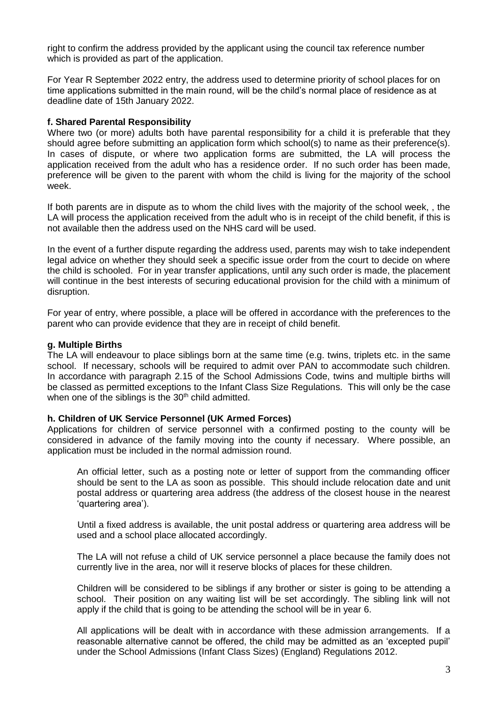right to confirm the address provided by the applicant using the council tax reference number which is provided as part of the application.

For Year R September 2022 entry, the address used to determine priority of school places for on time applications submitted in the main round, will be the child's normal place of residence as at deadline date of 15th January 2022.

#### **f. Shared Parental Responsibility**

Where two (or more) adults both have parental responsibility for a child it is preferable that they should agree before submitting an application form which school(s) to name as their preference(s). In cases of dispute, or where two application forms are submitted, the LA will process the application received from the adult who has a residence order. If no such order has been made, preference will be given to the parent with whom the child is living for the majority of the school week.

If both parents are in dispute as to whom the child lives with the majority of the school week, , the LA will process the application received from the adult who is in receipt of the child benefit, if this is not available then the address used on the NHS card will be used.

In the event of a further dispute regarding the address used, parents may wish to take independent legal advice on whether they should seek a specific issue order from the court to decide on where the child is schooled. For in year transfer applications, until any such order is made, the placement will continue in the best interests of securing educational provision for the child with a minimum of disruption.

For year of entry, where possible, a place will be offered in accordance with the preferences to the parent who can provide evidence that they are in receipt of child benefit.

#### **g. Multiple Births**

The LA will endeavour to place siblings born at the same time (e.g. twins, triplets etc. in the same school. If necessary, schools will be required to admit over PAN to accommodate such children. In accordance with paragraph 2.15 of the School Admissions Code, twins and multiple births will be classed as permitted exceptions to the Infant Class Size Regulations. This will only be the case when one of the siblings is the  $30<sup>th</sup>$  child admitted.

#### **h. Children of UK Service Personnel (UK Armed Forces)**

Applications for children of service personnel with a confirmed posting to the county will be considered in advance of the family moving into the county if necessary. Where possible, an application must be included in the normal admission round.

An official letter, such as a posting note or letter of support from the commanding officer should be sent to the LA as soon as possible. This should include relocation date and unit postal address or quartering area address (the address of the closest house in the nearest 'quartering area').

Until a fixed address is available, the unit postal address or quartering area address will be used and a school place allocated accordingly.

The LA will not refuse a child of UK service personnel a place because the family does not currently live in the area, nor will it reserve blocks of places for these children.

Children will be considered to be siblings if any brother or sister is going to be attending a school. Their position on any waiting list will be set accordingly. The sibling link will not apply if the child that is going to be attending the school will be in year 6.

All applications will be dealt with in accordance with these admission arrangements. If a reasonable alternative cannot be offered, the child may be admitted as an 'excepted pupil' under the School Admissions (Infant Class Sizes) (England) Regulations 2012.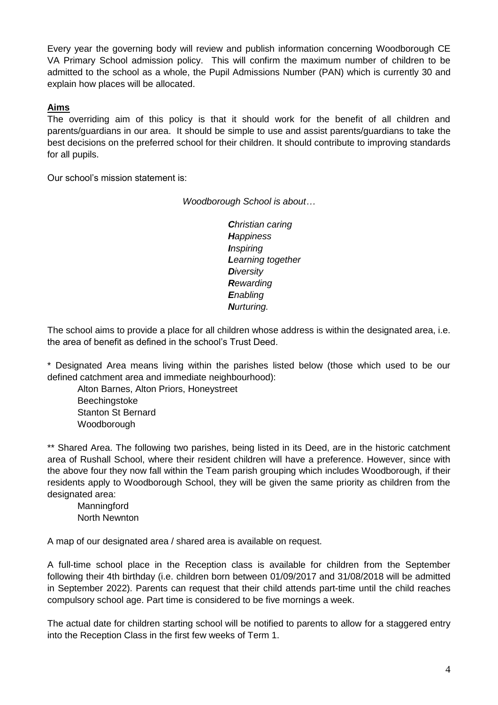Every year the governing body will review and publish information concerning Woodborough CE VA Primary School admission policy. This will confirm the maximum number of children to be admitted to the school as a whole, the Pupil Admissions Number (PAN) which is currently 30 and explain how places will be allocated.

## **Aims**

The overriding aim of this policy is that it should work for the benefit of all children and parents/guardians in our area. It should be simple to use and assist parents/guardians to take the best decisions on the preferred school for their children. It should contribute to improving standards for all pupils.

Our school's mission statement is:

*Woodborough School is about…*

*Christian caring Happiness Inspiring Learning together Diversity Rewarding Enabling Nurturing.*

The school aims to provide a place for all children whose address is within the designated area, i.e. the area of benefit as defined in the school's Trust Deed.

\* Designated Area means living within the parishes listed below (those which used to be our defined catchment area and immediate neighbourhood):

Alton Barnes, Alton Priors, Honeystreet Beechingstoke Stanton St Bernard Woodborough

\*\* Shared Area. The following two parishes, being listed in its Deed, are in the historic catchment area of Rushall School, where their resident children will have a preference. However, since with the above four they now fall within the Team parish grouping which includes Woodborough, if their residents apply to Woodborough School, they will be given the same priority as children from the designated area:

**Manningford** North Newnton

A map of our designated area / shared area is available on request.

A full-time school place in the Reception class is available for children from the September following their 4th birthday (i.e. children born between 01/09/2017 and 31/08/2018 will be admitted in September 2022). Parents can request that their child attends part-time until the child reaches compulsory school age. Part time is considered to be five mornings a week.

The actual date for children starting school will be notified to parents to allow for a staggered entry into the Reception Class in the first few weeks of Term 1.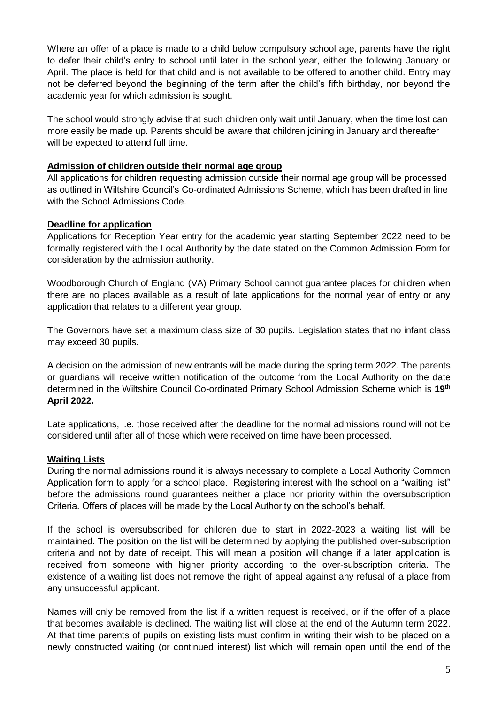Where an offer of a place is made to a child below compulsory school age, parents have the right to defer their child's entry to school until later in the school year, either the following January or April. The place is held for that child and is not available to be offered to another child. Entry may not be deferred beyond the beginning of the term after the child's fifth birthday, nor beyond the academic year for which admission is sought.

The school would strongly advise that such children only wait until January, when the time lost can more easily be made up. Parents should be aware that children joining in January and thereafter will be expected to attend full time.

### **Admission of children outside their normal age group**

All applications for children requesting admission outside their normal age group will be processed as outlined in Wiltshire Council's Co-ordinated Admissions Scheme, which has been drafted in line with the School Admissions Code.

#### **Deadline for application**

Applications for Reception Year entry for the academic year starting September 2022 need to be formally registered with the Local Authority by the date stated on the Common Admission Form for consideration by the admission authority.

Woodborough Church of England (VA) Primary School cannot guarantee places for children when there are no places available as a result of late applications for the normal year of entry or any application that relates to a different year group.

The Governors have set a maximum class size of 30 pupils. Legislation states that no infant class may exceed 30 pupils.

A decision on the admission of new entrants will be made during the spring term 2022. The parents or guardians will receive written notification of the outcome from the Local Authority on the date determined in the Wiltshire Council Co-ordinated Primary School Admission Scheme which is **19 th April 2022.**

Late applications, i.e. those received after the deadline for the normal admissions round will not be considered until after all of those which were received on time have been processed.

### **Waiting Lists**

During the normal admissions round it is always necessary to complete a Local Authority Common Application form to apply for a school place. Registering interest with the school on a "waiting list" before the admissions round guarantees neither a place nor priority within the oversubscription Criteria. Offers of places will be made by the Local Authority on the school's behalf.

If the school is oversubscribed for children due to start in 2022-2023 a waiting list will be maintained. The position on the list will be determined by applying the published over-subscription criteria and not by date of receipt. This will mean a position will change if a later application is received from someone with higher priority according to the over-subscription criteria. The existence of a waiting list does not remove the right of appeal against any refusal of a place from any unsuccessful applicant.

Names will only be removed from the list if a written request is received, or if the offer of a place that becomes available is declined. The waiting list will close at the end of the Autumn term 2022. At that time parents of pupils on existing lists must confirm in writing their wish to be placed on a newly constructed waiting (or continued interest) list which will remain open until the end of the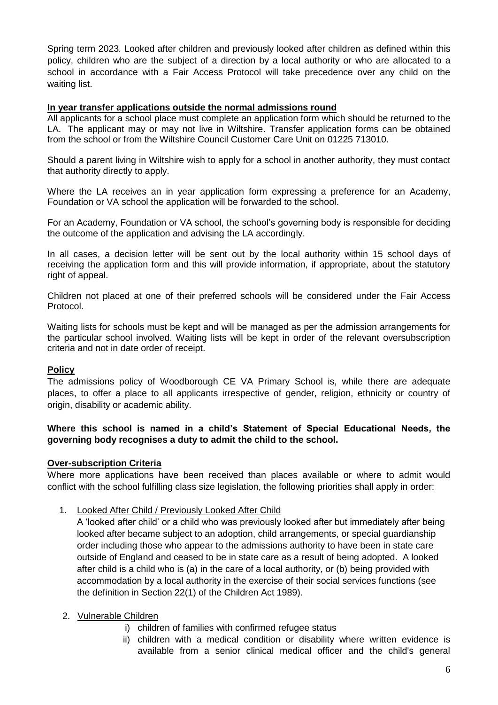Spring term 2023*.* Looked after children and previously looked after children as defined within this policy, children who are the subject of a direction by a local authority or who are allocated to a school in accordance with a Fair Access Protocol will take precedence over any child on the waiting list.

### **In year transfer applications outside the normal admissions round**

All applicants for a school place must complete an application form which should be returned to the LA. The applicant may or may not live in Wiltshire. Transfer application forms can be obtained from the school or from the Wiltshire Council Customer Care Unit on 01225 713010.

Should a parent living in Wiltshire wish to apply for a school in another authority, they must contact that authority directly to apply.

Where the LA receives an in year application form expressing a preference for an Academy, Foundation or VA school the application will be forwarded to the school.

For an Academy, Foundation or VA school, the school's governing body is responsible for deciding the outcome of the application and advising the LA accordingly.

In all cases, a decision letter will be sent out by the local authority within 15 school days of receiving the application form and this will provide information, if appropriate, about the statutory right of appeal.

Children not placed at one of their preferred schools will be considered under the Fair Access Protocol.

Waiting lists for schools must be kept and will be managed as per the admission arrangements for the particular school involved. Waiting lists will be kept in order of the relevant oversubscription criteria and not in date order of receipt.

### **Policy**

The admissions policy of Woodborough CE VA Primary School is, while there are adequate places, to offer a place to all applicants irrespective of gender, religion, ethnicity or country of origin, disability or academic ability.

## **Where this school is named in a child's Statement of Special Educational Needs, the governing body recognises a duty to admit the child to the school.**

### **Over-subscription Criteria**

Where more applications have been received than places available or where to admit would conflict with the school fulfilling class size legislation, the following priorities shall apply in order:

### 1. Looked After Child / Previously Looked After Child

A 'looked after child' or a child who was previously looked after but immediately after being looked after became subject to an adoption, child arrangements, or special guardianship order including those who appear to the admissions authority to have been in state care outside of England and ceased to be in state care as a result of being adopted. A looked after child is a child who is (a) in the care of a local authority, or (b) being provided with accommodation by a local authority in the exercise of their social services functions (see the definition in Section 22(1) of the Children Act 1989).

### 2. Vulnerable Children

- i) children of families with confirmed refugee status
- ii) children with a medical condition or disability where written evidence is available from a senior clinical medical officer and the child's general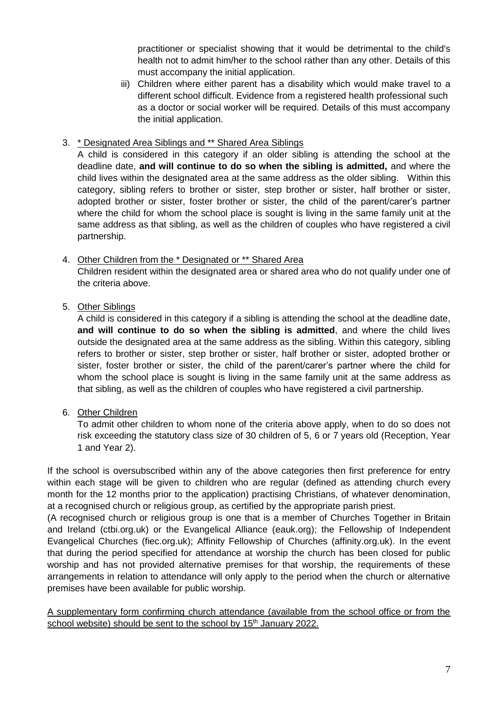practitioner or specialist showing that it would be detrimental to the child's health not to admit him/her to the school rather than any other. Details of this must accompany the initial application.

iii) Children where either parent has a disability which would make travel to a different school difficult. Evidence from a registered health professional such as a doctor or social worker will be required. Details of this must accompany the initial application.

## 3. \* Designated Area Siblings and \*\* Shared Area Siblings

A child is considered in this category if an older sibling is attending the school at the deadline date, **and will continue to do so when the sibling is admitted,** and where the child lives within the designated area at the same address as the older sibling. Within this category, sibling refers to brother or sister, step brother or sister, half brother or sister, adopted brother or sister, foster brother or sister, the child of the parent/carer's partner where the child for whom the school place is sought is living in the same family unit at the same address as that sibling, as well as the children of couples who have registered a civil partnership.

## 4. Other Children from the \* Designated or \*\* Shared Area

Children resident within the designated area or shared area who do not qualify under one of the criteria above.

## 5. Other Siblings

A child is considered in this category if a sibling is attending the school at the deadline date, **and will continue to do so when the sibling is admitted**, and where the child lives outside the designated area at the same address as the sibling. Within this category, sibling refers to brother or sister, step brother or sister, half brother or sister, adopted brother or sister, foster brother or sister, the child of the parent/carer's partner where the child for whom the school place is sought is living in the same family unit at the same address as that sibling, as well as the children of couples who have registered a civil partnership.

## 6. Other Children

To admit other children to whom none of the criteria above apply, when to do so does not risk exceeding the statutory class size of 30 children of 5, 6 or 7 years old (Reception, Year 1 and Year 2).

If the school is oversubscribed within any of the above categories then first preference for entry within each stage will be given to children who are regular (defined as attending church every month for the 12 months prior to the application) practising Christians, of whatever denomination, at a recognised church or religious group, as certified by the appropriate parish priest.

(A recognised church or religious group is one that is a member of Churches Together in Britain and Ireland (ctbi.org.uk) or the Evangelical Alliance (eauk.org); the Fellowship of Independent Evangelical Churches (fiec.org.uk); Affinity Fellowship of Churches (affinity.org.uk). In the event that during the period specified for attendance at worship the church has been closed for public worship and has not provided alternative premises for that worship, the requirements of these arrangements in relation to attendance will only apply to the period when the church or alternative premises have been available for public worship.

A supplementary form confirming church attendance (available from the school office or from the school website) should be sent to the school by 15<sup>th</sup> January 2022.